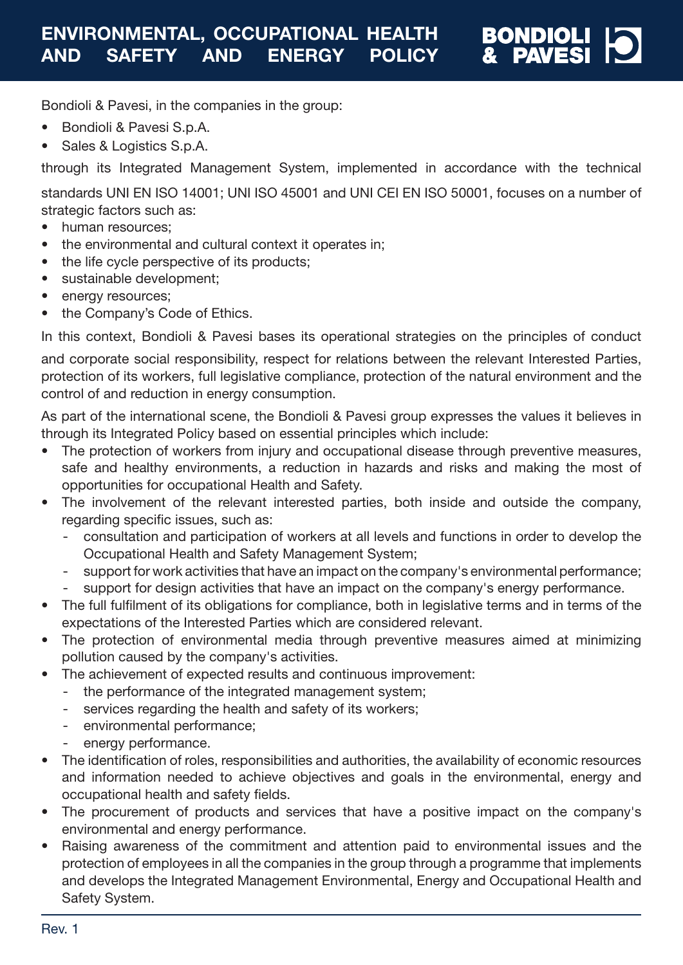

Bondioli & Pavesi, in the companies in the group:

- Bondioli & Pavesi S.p.A.
- Sales & Logistics S.p.A.

through its Integrated Management System, implemented in accordance with the technical

standards UNI EN ISO 14001; UNI ISO 45001 and UNI CEI EN ISO 50001, focuses on a number of strategic factors such as:

- human resources:
- the environmental and cultural context it operates in;
- the life cycle perspective of its products;
- sustainable development;
- energy resources;
- the Company's Code of Ethics.

In this context, Bondioli & Pavesi bases its operational strategies on the principles of conduct

and corporate social responsibility, respect for relations between the relevant Interested Parties, protection of its workers, full legislative compliance, protection of the natural environment and the control of and reduction in energy consumption.

As part of the international scene, the Bondioli & Pavesi group expresses the values it believes in through its Integrated Policy based on essential principles which include:

- The protection of workers from injury and occupational disease through preventive measures, safe and healthy environments, a reduction in hazards and risks and making the most of opportunities for occupational Health and Safety.
- The involvement of the relevant interested parties, both inside and outside the company, regarding specific issues, such as:
	- consultation and participation of workers at all levels and functions in order to develop the Occupational Health and Safety Management System;
	- support for work activities that have an impact on the company's environmental performance;
	- support for design activities that have an impact on the company's energy performance.
- The full fulfilment of its obligations for compliance, both in legislative terms and in terms of the expectations of the Interested Parties which are considered relevant.
- The protection of environmental media through preventive measures aimed at minimizing pollution caused by the company's activities.
- The achievement of expected results and continuous improvement:
	- the performance of the integrated management system;
	- services regarding the health and safety of its workers;
	- environmental performance;
	- energy performance.
- The identification of roles, responsibilities and authorities, the availability of economic resources and information needed to achieve objectives and goals in the environmental, energy and occupational health and safety fields.
- The procurement of products and services that have a positive impact on the company's environmental and energy performance.
- Raising awareness of the commitment and attention paid to environmental issues and the protection of employees in all the companies in the group through a programme that implements and develops the Integrated Management Environmental, Energy and Occupational Health and Safety System.